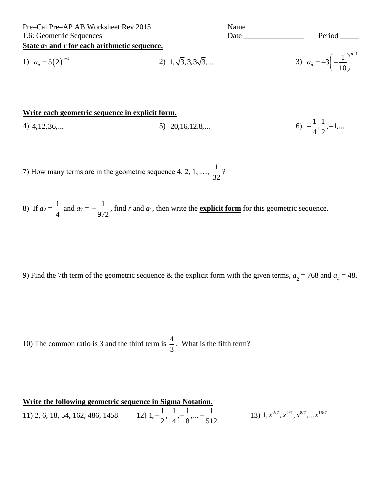| Pre-Cal Pre-AP AB Worksheet Rev 2015            |                                       | Name |                                                  |
|-------------------------------------------------|---------------------------------------|------|--------------------------------------------------|
| 1.6: Geometric Sequences                        |                                       | Date | Period                                           |
| State $a_1$ and r for each arithmetic sequence. |                                       |      |                                                  |
| 1) $a_n = 5(2)^{n-1}$                           | 2) $1, \sqrt{3}, 3, 3\sqrt{3}, \dots$ |      | 3) $a_n = -3 \left( -\frac{1}{10} \right)^{n-1}$ |

## Write each geometric sequence in explicit form.

| 4) $4, 12, 36, \dots$ | 5) $20,16,12.8,$ | 6) $-\frac{1}{4}, \frac{1}{2}, -1, $ |
|-----------------------|------------------|--------------------------------------|
|-----------------------|------------------|--------------------------------------|

7) How many terms are in the geometric sequence 4, 2, 1, ...,  $\frac{1}{32}$ ?

8) If  $a_2 = \frac{1}{4}$  and  $a_7 = -\frac{1}{972}$ , find r and  $a_1$ , then write the **explicit form** for this geometric sequence.

9) Find the 7th term of the geometric sequence & the explicit form with the given terms,  $a_2 = 768$  and  $a_4 = 48$ .

10) The common ratio is 3 and the third term is  $\frac{4}{3}$ . What is the fifth term?

| Write the following geometric sequence in Sigma Notation. |                                                                                              |                                                       |
|-----------------------------------------------------------|----------------------------------------------------------------------------------------------|-------------------------------------------------------|
| 11) 2, 6, 18, 54, 162, 486, 1458                          | 8, 54, 162, 486, 1458 12) $1, -\frac{1}{2}, \frac{1}{4}, -\frac{1}{8}, \dots -\frac{1}{512}$ | 13) 1, $x^{2/7}$ , $x^{4/7}$ , $x^{8/7}$ , $x^{16/7}$ |